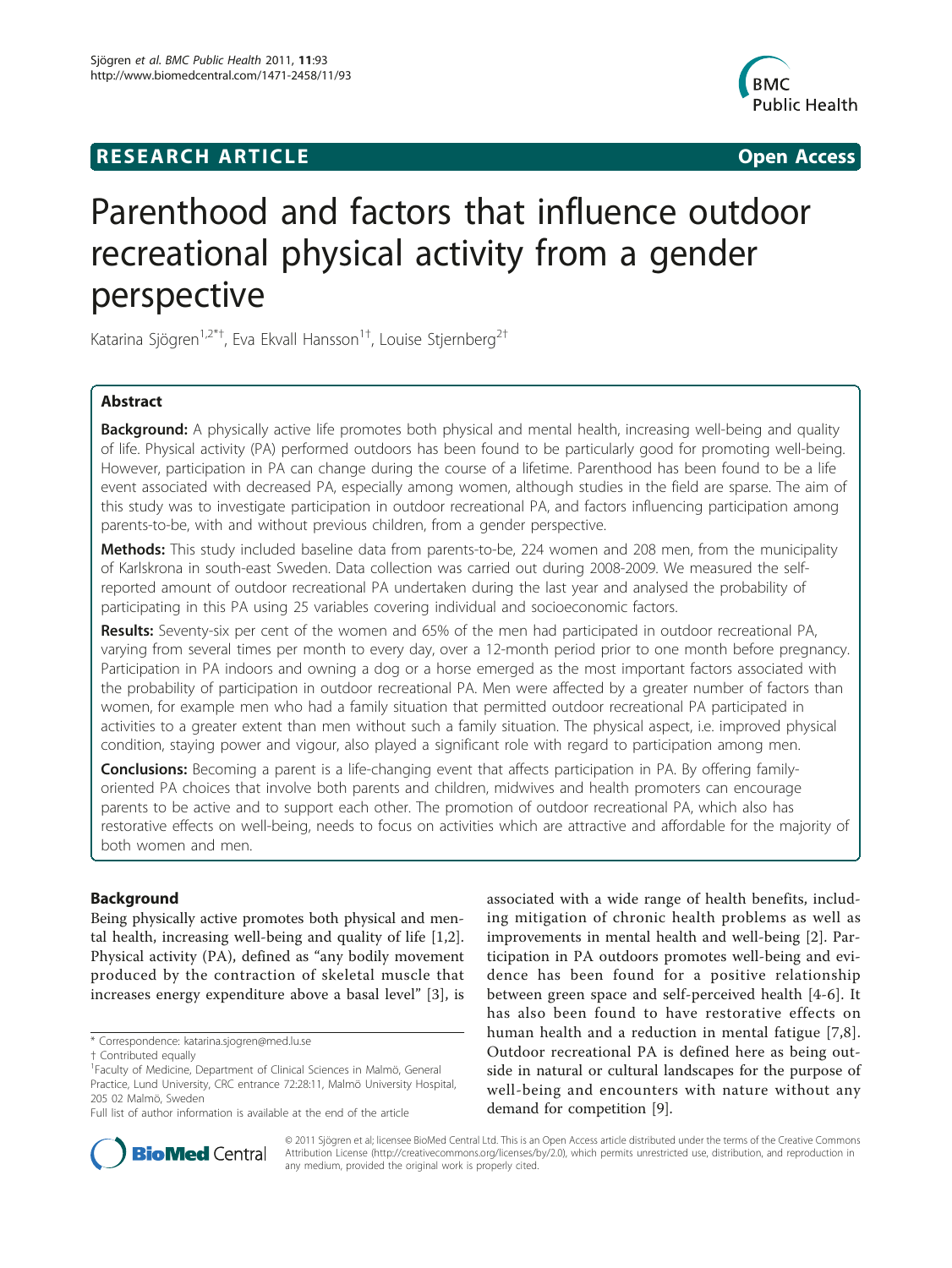# **RESEARCH ARTICLE Example 2018 CONSUMING ACCESS**



# Parenthood and factors that influence outdoor recreational physical activity from a gender perspective

Katarina Sjögren<sup>1,2\*†</sup>, Eva Ekvall Hansson<sup>1†</sup>, Louise Stjernberg<sup>2†</sup>

# Abstract

**Background:** A physically active life promotes both physical and mental health, increasing well-being and quality of life. Physical activity (PA) performed outdoors has been found to be particularly good for promoting well-being. However, participation in PA can change during the course of a lifetime. Parenthood has been found to be a life event associated with decreased PA, especially among women, although studies in the field are sparse. The aim of this study was to investigate participation in outdoor recreational PA, and factors influencing participation among parents-to-be, with and without previous children, from a gender perspective.

Methods: This study included baseline data from parents-to-be, 224 women and 208 men, from the municipality of Karlskrona in south-east Sweden. Data collection was carried out during 2008-2009. We measured the selfreported amount of outdoor recreational PA undertaken during the last year and analysed the probability of participating in this PA using 25 variables covering individual and socioeconomic factors.

Results: Seventy-six per cent of the women and 65% of the men had participated in outdoor recreational PA, varying from several times per month to every day, over a 12-month period prior to one month before pregnancy. Participation in PA indoors and owning a dog or a horse emerged as the most important factors associated with the probability of participation in outdoor recreational PA. Men were affected by a greater number of factors than women, for example men who had a family situation that permitted outdoor recreational PA participated in activities to a greater extent than men without such a family situation. The physical aspect, i.e. improved physical condition, staying power and vigour, also played a significant role with regard to participation among men.

**Conclusions:** Becoming a parent is a life-changing event that affects participation in PA. By offering familyoriented PA choices that involve both parents and children, midwives and health promoters can encourage parents to be active and to support each other. The promotion of outdoor recreational PA, which also has restorative effects on well-being, needs to focus on activities which are attractive and affordable for the majority of both women and men.

# Background

Being physically active promotes both physical and mental health, increasing well-being and quality of life [1,2]. Physical activity (PA), defined as "any bodily movement produced by the contraction of skeletal muscle that increases energy expenditure above a basal level" [3], is

associated with a wide range of health benefits, including mitigation of chronic health problems as well as improvements in mental health and well-being [2]. Participation in PA outdoors promotes well-being and evidence has been found for a positive relationship between green space and self-perceived health [4-6]. It has also been found to have restorative effects on human health and a reduction in mental fatigue [7,8]. Outdoor recreational PA is defined here as being outside in natural or cultural landscapes for the purpose of well-being and encounters with nature without any demand for competition [9].



© 2011 Sjögren et al; licensee BioMed Central Ltd. This is an Open Access article distributed under the terms of the Creative Commons Attribution License [\(http://creativecommons.org/licenses/by/2.0](http://creativecommons.org/licenses/by/2.0)), which permits unrestricted use, distribution, and reproduction in any medium, provided the original work is properly cited.

<sup>\*</sup> Correspondence: katarina.sjogren@med.lu.se

<sup>†</sup> Contributed equally <sup>1</sup>

<sup>&</sup>lt;sup>1</sup> Faculty of Medicine, Department of Clinical Sciences in Malmö, General Practice, Lund University, CRC entrance 72:28:11, Malmö University Hospital, 205 02 Malmö, Sweden

Full list of author information is available at the end of the article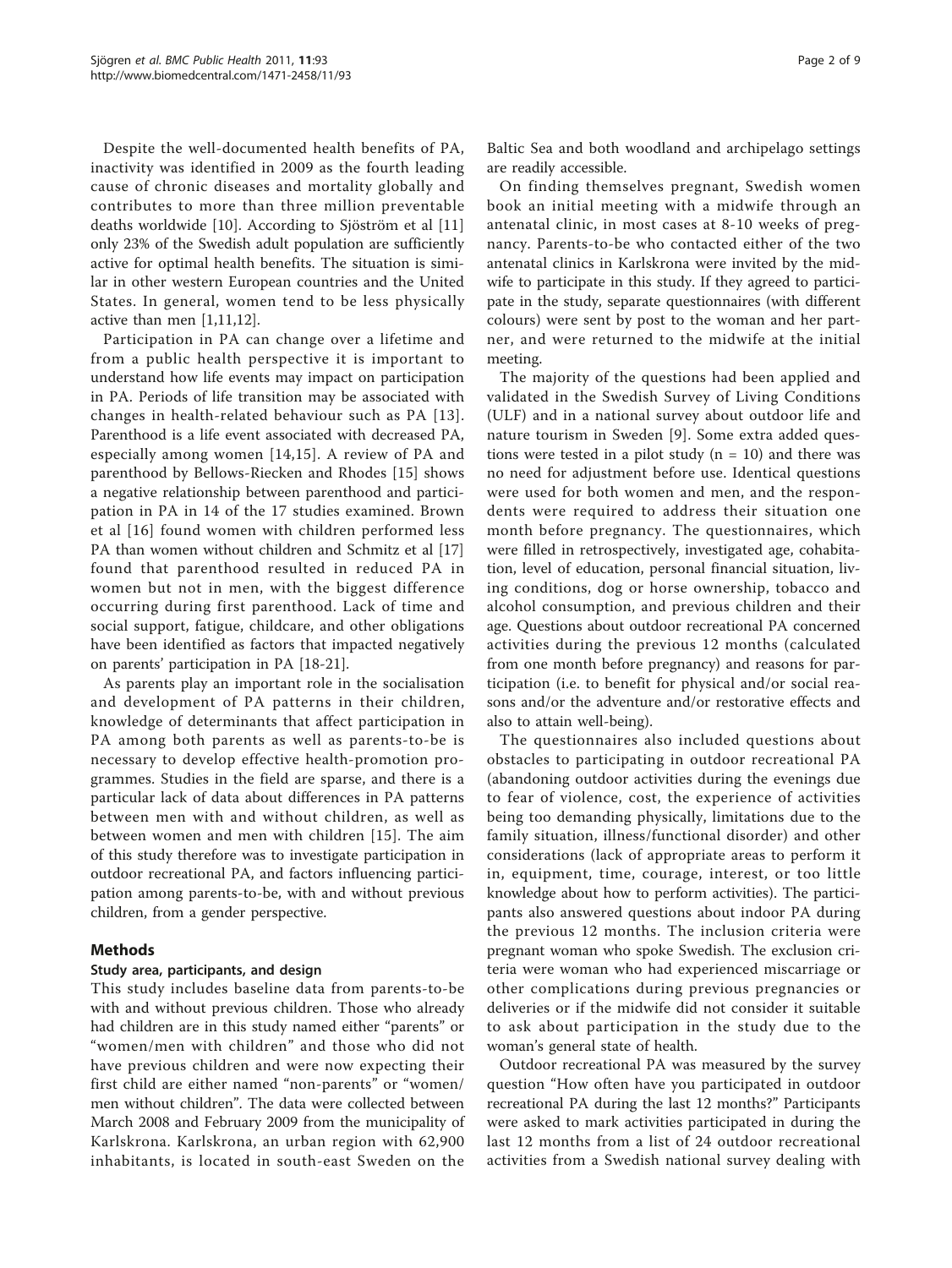Despite the well-documented health benefits of PA, inactivity was identified in 2009 as the fourth leading cause of chronic diseases and mortality globally and contributes to more than three million preventable deaths worldwide [10]. According to Sjöström et al [11] only 23% of the Swedish adult population are sufficiently active for optimal health benefits. The situation is similar in other western European countries and the United States. In general, women tend to be less physically active than men [1,11,12].

Participation in PA can change over a lifetime and from a public health perspective it is important to understand how life events may impact on participation in PA. Periods of life transition may be associated with changes in health-related behaviour such as PA [13]. Parenthood is a life event associated with decreased PA, especially among women [14,15]. A review of PA and parenthood by Bellows-Riecken and Rhodes [15] shows a negative relationship between parenthood and participation in PA in 14 of the 17 studies examined. Brown et al [16] found women with children performed less PA than women without children and Schmitz et al [17] found that parenthood resulted in reduced PA in women but not in men, with the biggest difference occurring during first parenthood. Lack of time and social support, fatigue, childcare, and other obligations have been identified as factors that impacted negatively on parents' participation in PA [18-21].

As parents play an important role in the socialisation and development of PA patterns in their children, knowledge of determinants that affect participation in PA among both parents as well as parents-to-be is necessary to develop effective health-promotion programmes. Studies in the field are sparse, and there is a particular lack of data about differences in PA patterns between men with and without children, as well as between women and men with children [15]. The aim of this study therefore was to investigate participation in outdoor recreational PA, and factors influencing participation among parents-to-be, with and without previous children, from a gender perspective.

# Methods

#### Study area, participants, and design

This study includes baseline data from parents-to-be with and without previous children. Those who already had children are in this study named either "parents" or "women/men with children" and those who did not have previous children and were now expecting their first child are either named "non-parents" or "women/ men without children". The data were collected between March 2008 and February 2009 from the municipality of Karlskrona. Karlskrona, an urban region with 62,900 inhabitants, is located in south-east Sweden on the

Baltic Sea and both woodland and archipelago settings are readily accessible.

On finding themselves pregnant, Swedish women book an initial meeting with a midwife through an antenatal clinic, in most cases at 8-10 weeks of pregnancy. Parents-to-be who contacted either of the two antenatal clinics in Karlskrona were invited by the midwife to participate in this study. If they agreed to participate in the study, separate questionnaires (with different colours) were sent by post to the woman and her partner, and were returned to the midwife at the initial meeting.

The majority of the questions had been applied and validated in the Swedish Survey of Living Conditions (ULF) and in a national survey about outdoor life and nature tourism in Sweden [9]. Some extra added questions were tested in a pilot study ( $n = 10$ ) and there was no need for adjustment before use. Identical questions were used for both women and men, and the respondents were required to address their situation one month before pregnancy. The questionnaires, which were filled in retrospectively, investigated age, cohabitation, level of education, personal financial situation, living conditions, dog or horse ownership, tobacco and alcohol consumption, and previous children and their age. Questions about outdoor recreational PA concerned activities during the previous 12 months (calculated from one month before pregnancy) and reasons for participation (i.e. to benefit for physical and/or social reasons and/or the adventure and/or restorative effects and also to attain well-being).

The questionnaires also included questions about obstacles to participating in outdoor recreational PA (abandoning outdoor activities during the evenings due to fear of violence, cost, the experience of activities being too demanding physically, limitations due to the family situation, illness/functional disorder) and other considerations (lack of appropriate areas to perform it in, equipment, time, courage, interest, or too little knowledge about how to perform activities). The participants also answered questions about indoor PA during the previous 12 months. The inclusion criteria were pregnant woman who spoke Swedish. The exclusion criteria were woman who had experienced miscarriage or other complications during previous pregnancies or deliveries or if the midwife did not consider it suitable to ask about participation in the study due to the woman's general state of health.

Outdoor recreational PA was measured by the survey question "How often have you participated in outdoor recreational PA during the last 12 months?" Participants were asked to mark activities participated in during the last 12 months from a list of 24 outdoor recreational activities from a Swedish national survey dealing with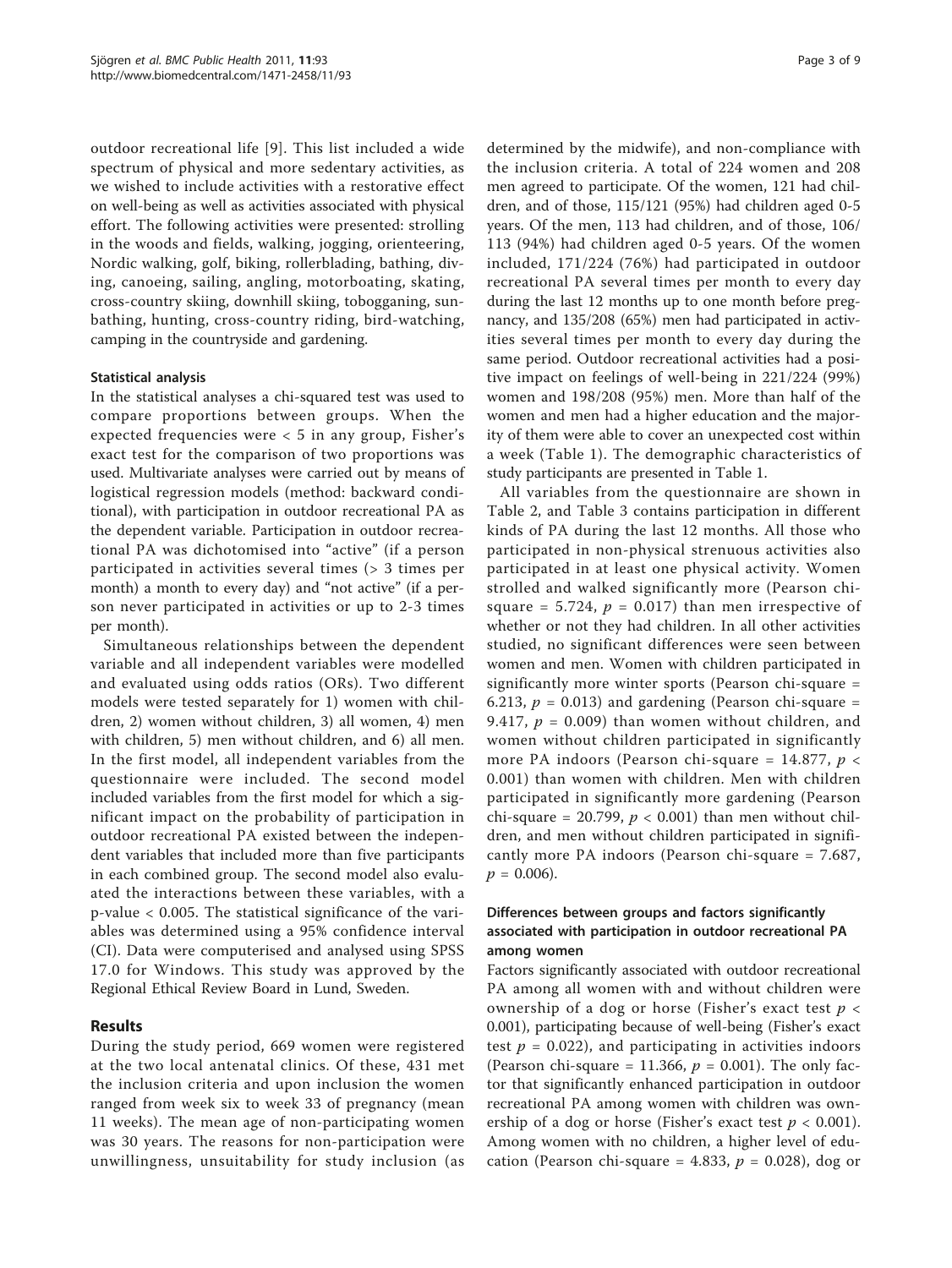outdoor recreational life [9]. This list included a wide spectrum of physical and more sedentary activities, as we wished to include activities with a restorative effect on well-being as well as activities associated with physical effort. The following activities were presented: strolling in the woods and fields, walking, jogging, orienteering, Nordic walking, golf, biking, rollerblading, bathing, diving, canoeing, sailing, angling, motorboating, skating, cross-country skiing, downhill skiing, tobogganing, sunbathing, hunting, cross-country riding, bird-watching, camping in the countryside and gardening.

#### Statistical analysis

In the statistical analyses a chi-squared test was used to compare proportions between groups. When the expected frequencies were  $< 5$  in any group, Fisher's exact test for the comparison of two proportions was used. Multivariate analyses were carried out by means of logistical regression models (method: backward conditional), with participation in outdoor recreational PA as the dependent variable. Participation in outdoor recreational PA was dichotomised into "active" (if a person participated in activities several times (> 3 times per month) a month to every day) and "not active" (if a person never participated in activities or up to 2-3 times per month).

Simultaneous relationships between the dependent variable and all independent variables were modelled and evaluated using odds ratios (ORs). Two different models were tested separately for 1) women with children, 2) women without children, 3) all women, 4) men with children, 5) men without children, and 6) all men. In the first model, all independent variables from the questionnaire were included. The second model included variables from the first model for which a significant impact on the probability of participation in outdoor recreational PA existed between the independent variables that included more than five participants in each combined group. The second model also evaluated the interactions between these variables, with a p-value < 0.005. The statistical significance of the variables was determined using a 95% confidence interval (CI). Data were computerised and analysed using SPSS 17.0 for Windows. This study was approved by the Regional Ethical Review Board in Lund, Sweden.

# Results

During the study period, 669 women were registered at the two local antenatal clinics. Of these, 431 met the inclusion criteria and upon inclusion the women ranged from week six to week 33 of pregnancy (mean 11 weeks). The mean age of non-participating women was 30 years. The reasons for non-participation were unwillingness, unsuitability for study inclusion (as determined by the midwife), and non-compliance with the inclusion criteria. A total of 224 women and 208 men agreed to participate. Of the women, 121 had children, and of those, 115/121 (95%) had children aged 0-5 years. Of the men, 113 had children, and of those, 106/ 113 (94%) had children aged 0-5 years. Of the women included, 171/224 (76%) had participated in outdoor recreational PA several times per month to every day during the last 12 months up to one month before pregnancy, and 135/208 (65%) men had participated in activities several times per month to every day during the same period. Outdoor recreational activities had a positive impact on feelings of well-being in 221/224 (99%) women and 198/208 (95%) men. More than half of the women and men had a higher education and the majority of them were able to cover an unexpected cost within a week (Table [1\). The demographic characteristics of](#page-3-0) [study participants are presented in Table 1.](#page-3-0)

All variables from the questionnaire are shown in Table [2, and Table 3 contains participation in different](#page-5-0) [kinds of PA during the last 12 months. All those who](#page-5-0) [participated in non-physical strenuous activities also](#page-5-0) [participated in at least one physical activity. Women](#page-5-0) [strolled and walked significantly more \(Pearson chi](#page-5-0)square = 5.724,  $p = 0.017$ ) than men irrespective of [whether or not they had children. In all other activities](#page-5-0) [studied, no significant differences were seen between](#page-5-0) [women and men. Women with children participated in](#page-5-0) [significantly more winter sports \(Pearson chi-square =](#page-5-0) 6.213,  $p = 0.013$ ) and gardening (Pearson chi-square = 9.417,  $p = 0.009$ ) than women without children, and [women without children participated in significantly](#page-5-0) [more PA indoors \(Pearson chi-square = 14.877,](#page-5-0)  $p \lt \theta$ [0.001\) than women with children. Men with children](#page-5-0) [participated in significantly more gardening \(Pearson](#page-5-0) chi-square = 20.799,  $p < 0.001$ ) than men without chil[dren, and men without children participated in signifi](#page-5-0)[cantly more PA indoors \(Pearson chi-square = 7.687,](#page-5-0)  $p = 0.006$ .

# Differences between groups and factors significantly associated with participation in outdoor recreational PA among women

Factors significantly associated with outdoor recreational PA among all women with and without children were ownership of a dog or horse (Fisher's exact test  $p <$ 0.001), participating because of well-being (Fisher's exact test  $p = 0.022$ ), and participating in activities indoors (Pearson chi-square = 11.366,  $p = 0.001$ ). The only factor that significantly enhanced participation in outdoor recreational PA among women with children was ownership of a dog or horse (Fisher's exact test  $p < 0.001$ ). Among women with no children, a higher level of education (Pearson chi-square = 4.833,  $p = 0.028$ ), dog or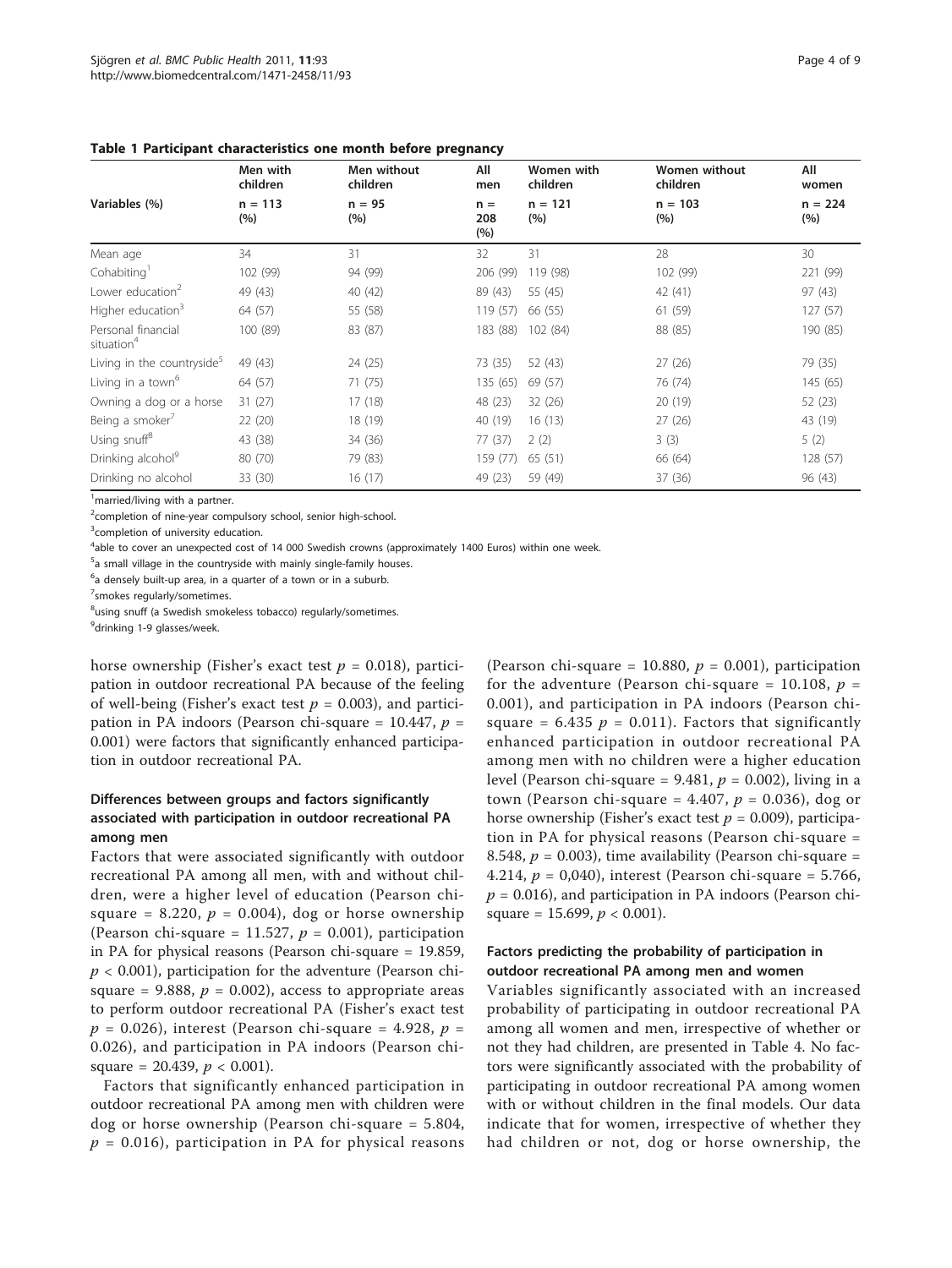|                                              | Men with<br>children | Men without<br>children | All<br>men          | Women with<br>children | Women without<br>children | All<br>women     |
|----------------------------------------------|----------------------|-------------------------|---------------------|------------------------|---------------------------|------------------|
| Variables (%)                                | $n = 113$<br>(%)     | $n = 95$<br>(%)         | $n =$<br>208<br>(%) | $n = 121$<br>(%)       | $n = 103$<br>(%)          | $n = 224$<br>(%) |
| Mean age                                     | 34                   | 31                      | 32                  | 31                     | 28                        | 30               |
| Cohabiting <sup>1</sup>                      | 102 (99)             | 94 (99)                 | 206 (99)            | 119 (98)               | 102 (99)                  | 221 (99)         |
| Lower education <sup>2</sup>                 | 49 (43)              | 40 (42)                 | 89 (43)             | 55 (45)                | 42 (41)                   | 97 (43)          |
| Higher education <sup>3</sup>                | 64 (57)              | 55 (58)                 | 119(57)             | 66 (55)                | 61(59)                    | 127(57)          |
| Personal financial<br>situation <sup>4</sup> | 100 (89)             | 83 (87)                 | 183 (88)            | 102 (84)               | 88 (85)                   | 190 (85)         |
| Living in the countryside <sup>5</sup>       | 49 (43)              | 24(25)                  | 73 (35)             | 52 (43)                | 27(26)                    | 79 (35)          |
| Living in a town <sup>o</sup>                | 64 (57)              | 71 (75)                 | 135 (65)            | 69 (57)                | 76 (74)                   | 145(65)          |
| Owning a dog or a horse                      | 31(27)               | 17(18)                  | 48 (23)             | 32(26)                 | 20 (19)                   | 52 (23)          |
| Being a smoker <sup>7</sup>                  | 22(20)               | 18 (19)                 | 40 (19)             | 16(13)                 | 27(26)                    | 43 (19)          |
| Using snuff <sup>8</sup>                     | 43 (38)              | 34 (36)                 | 77 (37)             | 2(2)                   | 3(3)                      | 5(2)             |
| Drinking alcohol <sup>9</sup>                | 80 (70)              | 79 (83)                 | 159 (77)            | 65 (51)                | 66 (64)                   | 128 (57)         |
| Drinking no alcohol                          | 33 (30)              | 16(17)                  | 49 (23)             | 59 (49)                | 37 (36)                   | 96 (43)          |

<span id="page-3-0"></span>Table 1 Participant characteristics one month before pregnancy

<sup>1</sup> married/living with a partner.

<sup>2</sup>completion of nine-year compulsory school, senior high-school.

<sup>3</sup> completion of university education.

4 able to cover an unexpected cost of 14 000 Swedish crowns (approximately 1400 Euros) within one week.

<sup>5</sup>a small village in the countryside with mainly single-family houses.

 $<sup>6</sup>$ a densely built-up area, in a quarter of a town or in a suburb.</sup>

<sup>7</sup>smokes regularly/sometimes.

<sup>8</sup>using snuff (a Swedish smokeless tobacco) regularly/sometimes.

<sup>9</sup>drinking 1-9 glasses/week.

horse ownership (Fisher's exact test  $p = 0.018$ ), participation in outdoor recreational PA because of the feeling of well-being (Fisher's exact test  $p = 0.003$ ), and participation in PA indoors (Pearson chi-square = 10.447,  $p =$ 0.001) were factors that significantly enhanced participation in outdoor recreational PA.

# Differences between groups and factors significantly associated with participation in outdoor recreational PA among men

Factors that were associated significantly with outdoor recreational PA among all men, with and without children, were a higher level of education (Pearson chisquare = 8.220,  $p = 0.004$ ), dog or horse ownership (Pearson chi-square = 11.527,  $p = 0.001$ ), participation in PA for physical reasons (Pearson chi-square = 19.859,  $p < 0.001$ ), participation for the adventure (Pearson chisquare = 9.888,  $p = 0.002$ ), access to appropriate areas to perform outdoor recreational PA (Fisher's exact test  $p = 0.026$ ), interest (Pearson chi-square = 4.928,  $p =$ 0.026), and participation in PA indoors (Pearson chisquare = 20.439,  $p < 0.001$ ).

Factors that significantly enhanced participation in outdoor recreational PA among men with children were dog or horse ownership (Pearson chi-square = 5.804,  $p = 0.016$ , participation in PA for physical reasons

(Pearson chi-square = 10.880,  $p = 0.001$ ), participation for the adventure (Pearson chi-square = 10.108,  $p =$ 0.001), and participation in PA indoors (Pearson chisquare = 6.435  $p = 0.011$ ). Factors that significantly enhanced participation in outdoor recreational PA among men with no children were a higher education level (Pearson chi-square = 9.481,  $p = 0.002$ ), living in a town (Pearson chi-square = 4.407,  $p = 0.036$ ), dog or horse ownership (Fisher's exact test  $p = 0.009$ ), participation in PA for physical reasons (Pearson chi-square = 8.548,  $p = 0.003$ ), time availability (Pearson chi-square = 4.214,  $p = 0.040$ , interest (Pearson chi-square = 5.766,  $p = 0.016$ ), and participation in PA indoors (Pearson chisquare = 15.699,  $p < 0.001$ ).

# Factors predicting the probability of participation in outdoor recreational PA among men and women

Variables significantly associated with an increased probability of participating in outdoor recreational PA among all women and men, irrespective of whether or not they had children, are presented in Table [4. No fac](#page-5-0)[tors were significantly associated with the probability of](#page-5-0) [participating in outdoor recreational PA among women](#page-5-0) [with or without children in the final models. Our data](#page-5-0) [indicate that for women, irrespective of whether they](#page-5-0) [had children or not, dog or horse ownership, the](#page-5-0)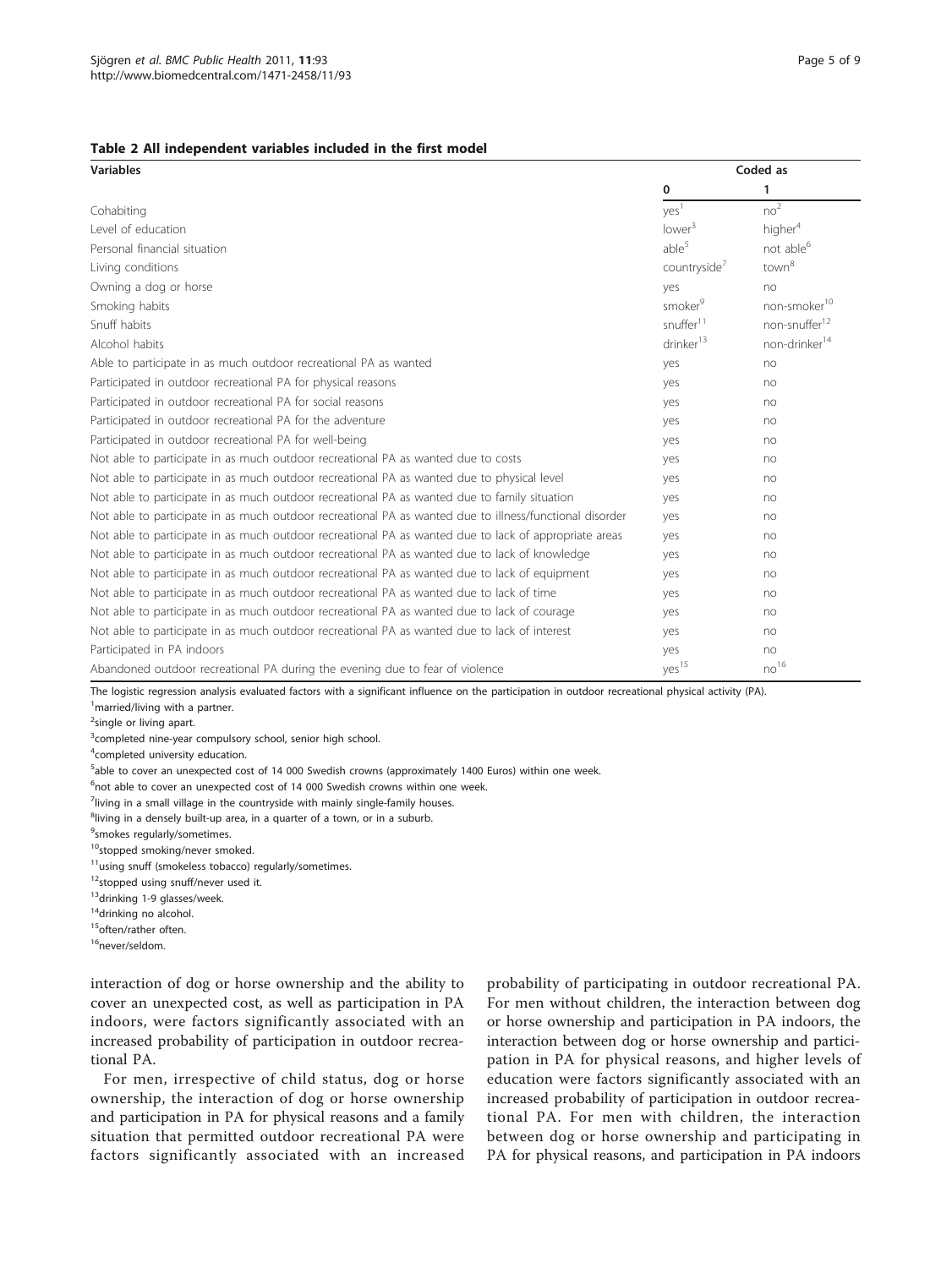#### Table 2 All independent variables included in the first model

| <b>Variables</b>                                                                                        | Coded as              |                           |  |  |
|---------------------------------------------------------------------------------------------------------|-----------------------|---------------------------|--|--|
|                                                                                                         | 0                     | $\mathbf{1}$              |  |  |
| Cohabiting                                                                                              | yes <sup>1</sup>      | no <sup>2</sup>           |  |  |
| Level of education                                                                                      | lower <sup>3</sup>    | higher <sup>4</sup>       |  |  |
| Personal financial situation                                                                            | able <sup>5</sup>     | not able <sup>6</sup>     |  |  |
| Living conditions                                                                                       | countryside'          | town <sup>8</sup>         |  |  |
| Owning a dog or horse                                                                                   | yes                   | no                        |  |  |
| Smoking habits                                                                                          | smoker <sup>9</sup>   | non-smoker <sup>10</sup>  |  |  |
| Snuff habits                                                                                            | snuffer <sup>11</sup> | non-snuffer <sup>12</sup> |  |  |
| Alcohol habits                                                                                          | drinker <sup>13</sup> | non-drinker <sup>14</sup> |  |  |
| Able to participate in as much outdoor recreational PA as wanted                                        | yes                   | no                        |  |  |
| Participated in outdoor recreational PA for physical reasons                                            | yes                   | no                        |  |  |
| Participated in outdoor recreational PA for social reasons                                              | yes                   | no                        |  |  |
| Participated in outdoor recreational PA for the adventure                                               | yes                   | no                        |  |  |
| Participated in outdoor recreational PA for well-being                                                  | yes                   | no                        |  |  |
| Not able to participate in as much outdoor recreational PA as wanted due to costs                       | yes                   | no                        |  |  |
| Not able to participate in as much outdoor recreational PA as wanted due to physical level              | yes                   | no                        |  |  |
| Not able to participate in as much outdoor recreational PA as wanted due to family situation            | yes                   | no                        |  |  |
| Not able to participate in as much outdoor recreational PA as wanted due to illness/functional disorder | yes                   | no                        |  |  |
| Not able to participate in as much outdoor recreational PA as wanted due to lack of appropriate areas   | yes                   | no                        |  |  |
| Not able to participate in as much outdoor recreational PA as wanted due to lack of knowledge           | yes                   | no                        |  |  |
| Not able to participate in as much outdoor recreational PA as wanted due to lack of equipment           | yes                   | no                        |  |  |
| Not able to participate in as much outdoor recreational PA as wanted due to lack of time                | yes                   | no                        |  |  |
| Not able to participate in as much outdoor recreational PA as wanted due to lack of courage             | yes                   | no                        |  |  |
| Not able to participate in as much outdoor recreational PA as wanted due to lack of interest            | yes                   | no                        |  |  |
| Participated in PA indoors                                                                              | yes                   | no                        |  |  |
| Abandoned outdoor recreational PA during the evening due to fear of violence                            | yes <sup>15</sup>     | no <sup>16</sup>          |  |  |

The logistic regression analysis evaluated factors with a significant influence on the participation in outdoor recreational physical activity (PA). <sup>1</sup> married/living with a partner.

<sup>2</sup>single or living apart.

<sup>3</sup>completed nine-year compulsory school, senior high school.

4 completed university education.

5 able to cover an unexpected cost of 14 000 Swedish crowns (approximately 1400 Euros) within one week.

<sup>6</sup>not able to cover an unexpected cost of 14 000 Swedish crowns within one week.

 $^7$ living in a small village in the countryside with mainly single-family houses.

<sup>8</sup>living in a densely built-up area, in a quarter of a town, or in a suburb.

<sup>9</sup>smokes regularly/sometimes.

<sup>10</sup>stopped smoking/never smoked.

<sup>11</sup>using snuff (smokeless tobacco) regularly/sometimes.

<sup>12</sup>stopped using snuff/never used it.

13drinking 1-9 glasses/week.

<sup>14</sup>drinking no alcohol.

<sup>15</sup>often/rather often.

<sup>16</sup>never/seldom.

[interaction of dog or horse ownership and the ability to](#page-5-0) [cover an unexpected cost, as well as participation in PA](#page-5-0) [indoors, were factors significantly associated with an](#page-5-0) [increased probability of participation in outdoor recrea](#page-5-0)[tional PA.](#page-5-0)

For men, irrespective of child status, dog or horse ownership, the interaction of dog or horse ownership and participation in PA for physical reasons and a family situation that permitted outdoor recreational PA were factors significantly associated with an increased

probability of participating in outdoor recreational PA. For men without children, the interaction between dog or horse ownership and participation in PA indoors, the interaction between dog or horse ownership and participation in PA for physical reasons, and higher levels of education were factors significantly associated with an increased probability of participation in outdoor recreational PA. For men with children, the interaction between dog or horse ownership and participating in PA for physical reasons, and participation in PA indoors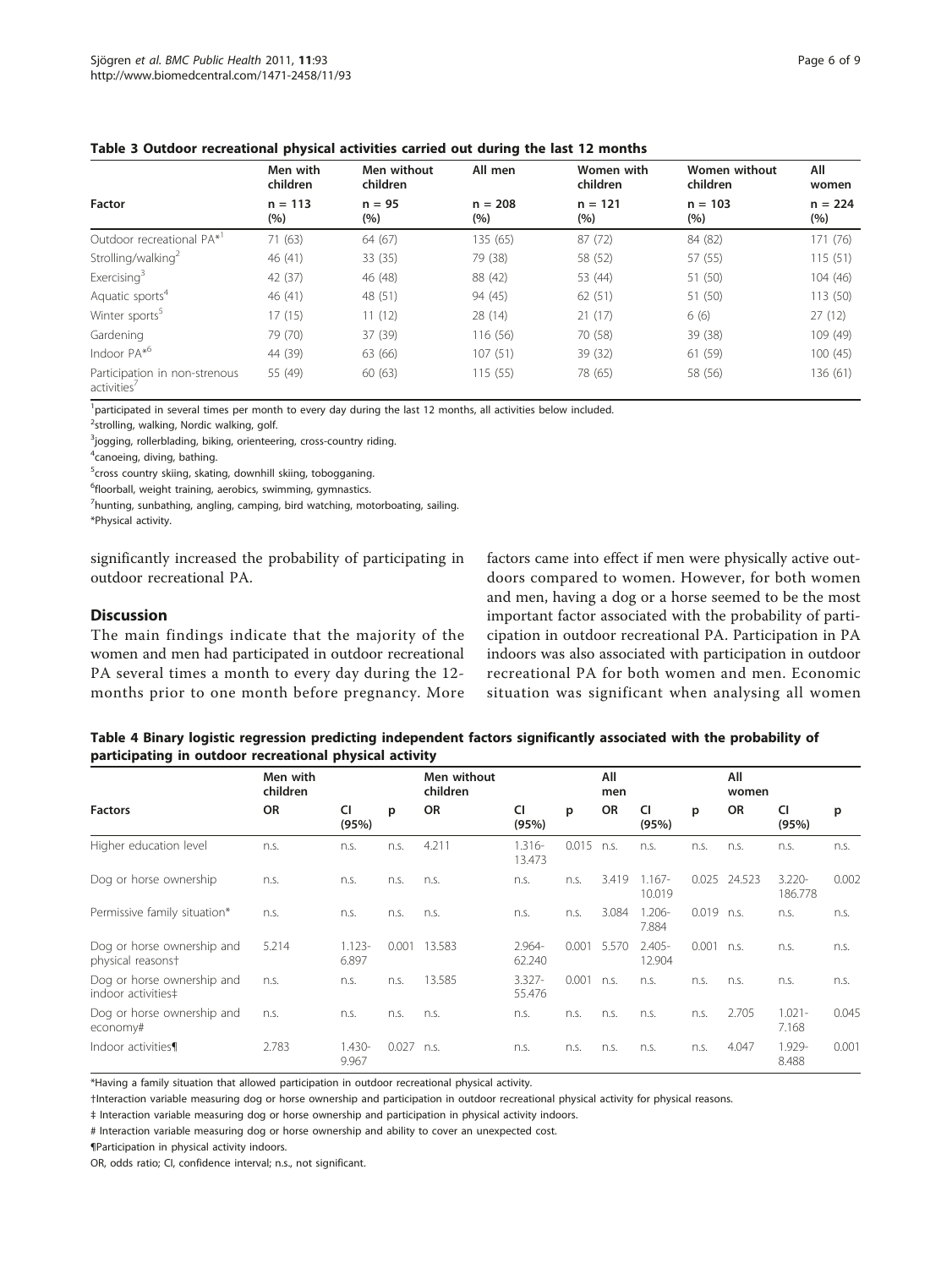|                                              | Men with<br>children | Men without<br>children | All men          | Women with<br>children | Women without<br>children | All<br>women     |  |
|----------------------------------------------|----------------------|-------------------------|------------------|------------------------|---------------------------|------------------|--|
| Factor                                       | $n = 113$<br>(%)     | $n = 95$<br>$(\% )$     | $n = 208$<br>(%) | $n = 121$<br>(%)       | $n = 103$<br>(%)          | $n = 224$<br>(%) |  |
| Outdoor recreational PA* <sup>1</sup>        | 71 (63)              | 64 (67)                 | 135 (65)         | 87(72)                 | 84 (82)                   | 171 (76)         |  |
| Strolling/walking <sup>2</sup>               | 46 (41)              | 33 (35)                 | 79 (38)          | 58 (52)                | 57 (55)                   | 115(51)          |  |
| Exercising <sup>3</sup>                      | 42 (37)              | 46 (48)                 | 88 (42)          | 53 (44)                | 51 (50)                   | 104 (46)         |  |
| Aquatic sports <sup>4</sup>                  | 46 (41)              | 48 (51)                 | 94 (45)          | 62 (51)                | 51 (50)                   | 113 (50)         |  |
| Winter sports <sup>5</sup>                   | 17(15)               | 11(12)                  | 28 (14)          | 21(17)                 | 6(6)                      | 27(12)           |  |
| Gardening                                    | 79 (70)              | 37 (39)                 | 116 (56)         | 70 (58)                | 39 (38)                   | 109 (49)         |  |
| Indoor PA <sup>*6</sup>                      | 44 (39)              | 63 (66)                 | 107(51)          | 39 (32)                | 61 (59)                   | 100(45)          |  |
| Participation in non-strenous<br>activities' | 55 (49)              | 60(63)                  | 115(55)          | 78 (65)                | 58 (56)                   | 136 (61)         |  |

#### <span id="page-5-0"></span>Table 3 Outdoor recreational physical activities carried out during the last 12 months

<sup>1</sup>participated in several times per month to every day during the last 12 months, all activities below included.

<sup>2</sup>strolling, walking, Nordic walking, golf.

<sup>3</sup>jogging, rollerblading, biking, orienteering, cross-country riding.

<sup>4</sup>canoeing, diving, bathing.

<sup>5</sup>cross country skiing, skating, downhill skiing, tobogganing.

<sup>6</sup>floorball, weight training, aerobics, swimming, gymnastics.

 $^7$ hunting, sunbathing, angling, camping, bird watching, motorboating, sailing. \*Physical activity.

significantly increased the probability of participating in outdoor recreational PA.

#### **Discussion**

The main findings indicate that the majority of the women and men had participated in outdoor recreational PA several times a month to every day during the 12 months prior to one month before pregnancy. More factors came into effect if men were physically active outdoors compared to women. However, for both women and men, having a dog or a horse seemed to be the most important factor associated with the probability of participation in outdoor recreational PA. Participation in PA indoors was also associated with participation in outdoor recreational PA for both women and men. Economic situation was significant when analysing all women

Table 4 Binary logistic regression predicting independent factors significantly associated with the probability of participating in outdoor recreational physical activity

|                                                  | Men with<br>children |                    |       | Men without<br>children |                     |       | All<br>men |                     |       | All<br>women |                      |       |
|--------------------------------------------------|----------------------|--------------------|-------|-------------------------|---------------------|-------|------------|---------------------|-------|--------------|----------------------|-------|
| <b>Factors</b>                                   | <b>OR</b>            | CI<br>(95%)        | p     | <b>OR</b>               | CI<br>(95%)         | p     | <b>OR</b>  | CI<br>(95%)         | p     | <b>OR</b>    | CI<br>(95%)          | p     |
| Higher education level                           | n.s.                 | n.s.               | n.s.  | 4.211                   | $1.316-$<br>13.473  | 0.015 | n.s.       | n.S.                | n.s.  | n.s.         | n.s.                 | n.s.  |
| Dog or horse ownership                           | n.s.                 | n.s.               | n.s.  | n.s.                    | n.s.                | n.s.  | 3.419      | $1.167 -$<br>10.019 | 0.025 | 24.523       | $3.220 -$<br>186.778 | 0.002 |
| Permissive family situation*                     | n.s.                 | n.s.               | n.s.  | n.s.                    | n.s.                | n.s.  | 3.084      | $.206-$<br>7.884    | 0.019 | n.s.         | n.s.                 | n.S.  |
| Dog or horse ownership and<br>physical reasonst  | 5.214                | $1.123 -$<br>6.897 | 0.001 | 13.583                  | $2.964 -$<br>62.240 | 0.001 | 5.570      | $2.405 -$<br>12.904 | 0.001 | n.s.         | n.s.                 | n.S.  |
| Dog or horse ownership and<br>indoor activities‡ | n.s.                 | n.s.               | n.s.  | 13.585                  | $3.327 -$<br>55.476 | 0.001 | n.S.       | n.s.                | n.s.  | n.s.         | n.s.                 | n.S.  |
| Dog or horse ownership and<br>economy#           | n.s.                 | n.s.               | n.s.  | n.s.                    | n.s.                | n.s.  | n.s.       | n.s.                | n.s.  | 2.705        | $1.021 -$<br>7.168   | 0.045 |
| Indoor activities¶                               | 2.783                | $.430-$<br>9.967   | 0.027 | n.s.                    | n.s.                | n.s.  | n.s.       | n.s.                | n.s.  | 4.047        | 1.929-<br>8.488      | 0.001 |

\*Having a family situation that allowed participation in outdoor recreational physical activity.

†Interaction variable measuring dog or horse ownership and participation in outdoor recreational physical activity for physical reasons.

‡ Interaction variable measuring dog or horse ownership and participation in physical activity indoors.

# Interaction variable measuring dog or horse ownership and ability to cover an unexpected cost.

¶Participation in physical activity indoors.

OR, odds ratio; CI, confidence interval; n.s., not significant.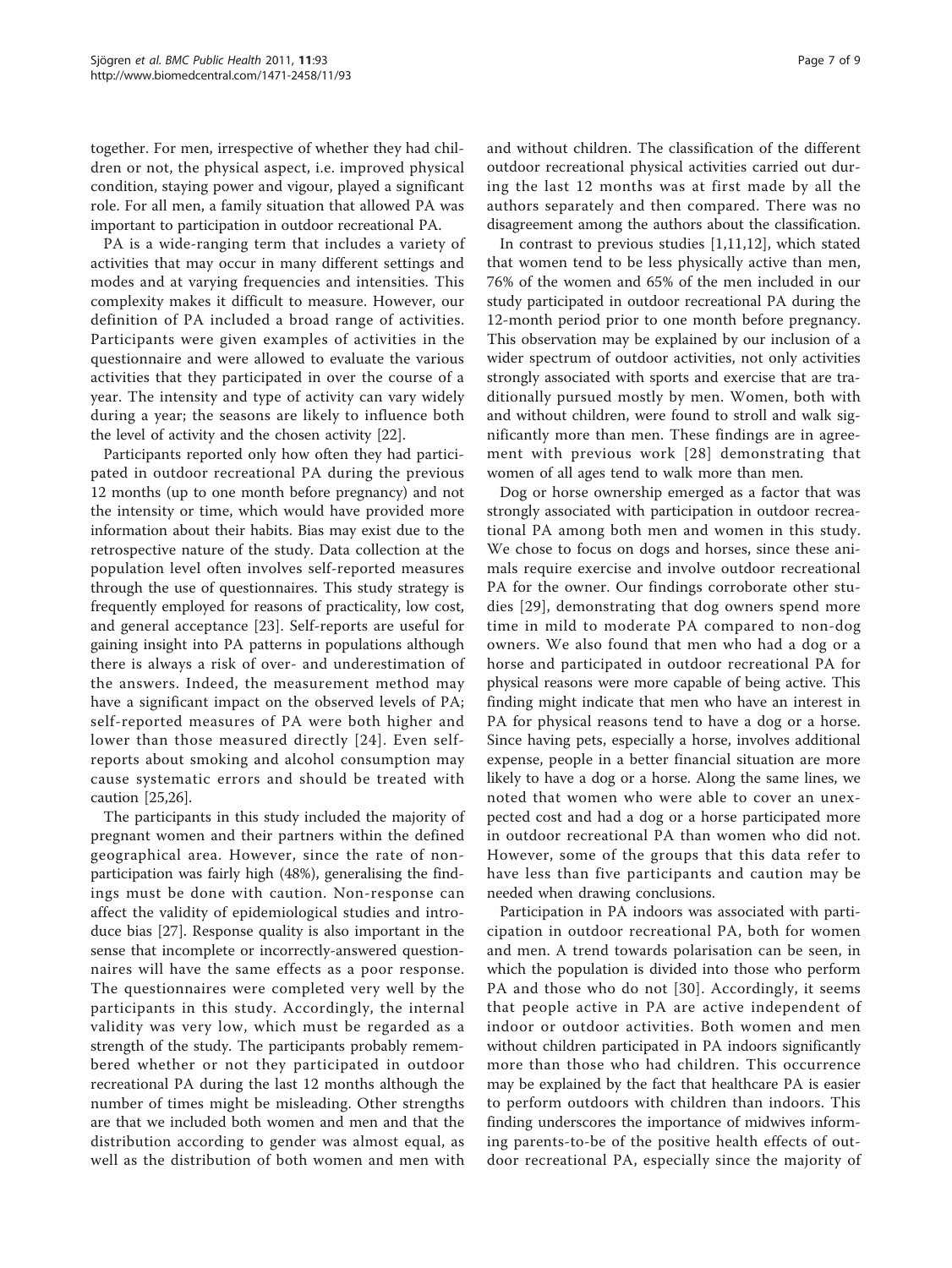together. For men, irrespective of whether they had children or not, the physical aspect, i.e. improved physical condition, staying power and vigour, played a significant role. For all men, a family situation that allowed PA was important to participation in outdoor recreational PA.

PA is a wide-ranging term that includes a variety of activities that may occur in many different settings and modes and at varying frequencies and intensities. This complexity makes it difficult to measure. However, our definition of PA included a broad range of activities. Participants were given examples of activities in the questionnaire and were allowed to evaluate the various activities that they participated in over the course of a year. The intensity and type of activity can vary widely during a year; the seasons are likely to influence both the level of activity and the chosen activity [22].

Participants reported only how often they had participated in outdoor recreational PA during the previous 12 months (up to one month before pregnancy) and not the intensity or time, which would have provided more information about their habits. Bias may exist due to the retrospective nature of the study. Data collection at the population level often involves self-reported measures through the use of questionnaires. This study strategy is frequently employed for reasons of practicality, low cost, and general acceptance [23]. Self-reports are useful for gaining insight into PA patterns in populations although there is always a risk of over- and underestimation of the answers. Indeed, the measurement method may have a significant impact on the observed levels of PA; self-reported measures of PA were both higher and lower than those measured directly [24]. Even selfreports about smoking and alcohol consumption may cause systematic errors and should be treated with caution [25,26].

The participants in this study included the majority of pregnant women and their partners within the defined geographical area. However, since the rate of nonparticipation was fairly high (48%), generalising the findings must be done with caution. Non-response can affect the validity of epidemiological studies and introduce bias [27]. Response quality is also important in the sense that incomplete or incorrectly-answered questionnaires will have the same effects as a poor response. The questionnaires were completed very well by the participants in this study. Accordingly, the internal validity was very low, which must be regarded as a strength of the study. The participants probably remembered whether or not they participated in outdoor recreational PA during the last 12 months although the number of times might be misleading. Other strengths are that we included both women and men and that the distribution according to gender was almost equal, as well as the distribution of both women and men with and without children. The classification of the different outdoor recreational physical activities carried out during the last 12 months was at first made by all the authors separately and then compared. There was no disagreement among the authors about the classification.

In contrast to previous studies [1,11,12], which stated that women tend to be less physically active than men, 76% of the women and 65% of the men included in our study participated in outdoor recreational PA during the 12-month period prior to one month before pregnancy. This observation may be explained by our inclusion of a wider spectrum of outdoor activities, not only activities strongly associated with sports and exercise that are traditionally pursued mostly by men. Women, both with and without children, were found to stroll and walk significantly more than men. These findings are in agreement with previous work [28] demonstrating that women of all ages tend to walk more than men.

Dog or horse ownership emerged as a factor that was strongly associated with participation in outdoor recreational PA among both men and women in this study. We chose to focus on dogs and horses, since these animals require exercise and involve outdoor recreational PA for the owner. Our findings corroborate other studies [29], demonstrating that dog owners spend more time in mild to moderate PA compared to non-dog owners. We also found that men who had a dog or a horse and participated in outdoor recreational PA for physical reasons were more capable of being active. This finding might indicate that men who have an interest in PA for physical reasons tend to have a dog or a horse. Since having pets, especially a horse, involves additional expense, people in a better financial situation are more likely to have a dog or a horse. Along the same lines, we noted that women who were able to cover an unexpected cost and had a dog or a horse participated more in outdoor recreational PA than women who did not. However, some of the groups that this data refer to have less than five participants and caution may be needed when drawing conclusions.

Participation in PA indoors was associated with participation in outdoor recreational PA, both for women and men. A trend towards polarisation can be seen, in which the population is divided into those who perform PA and those who do not [30]. Accordingly, it seems that people active in PA are active independent of indoor or outdoor activities. Both women and men without children participated in PA indoors significantly more than those who had children. This occurrence may be explained by the fact that healthcare PA is easier to perform outdoors with children than indoors. This finding underscores the importance of midwives informing parents-to-be of the positive health effects of outdoor recreational PA, especially since the majority of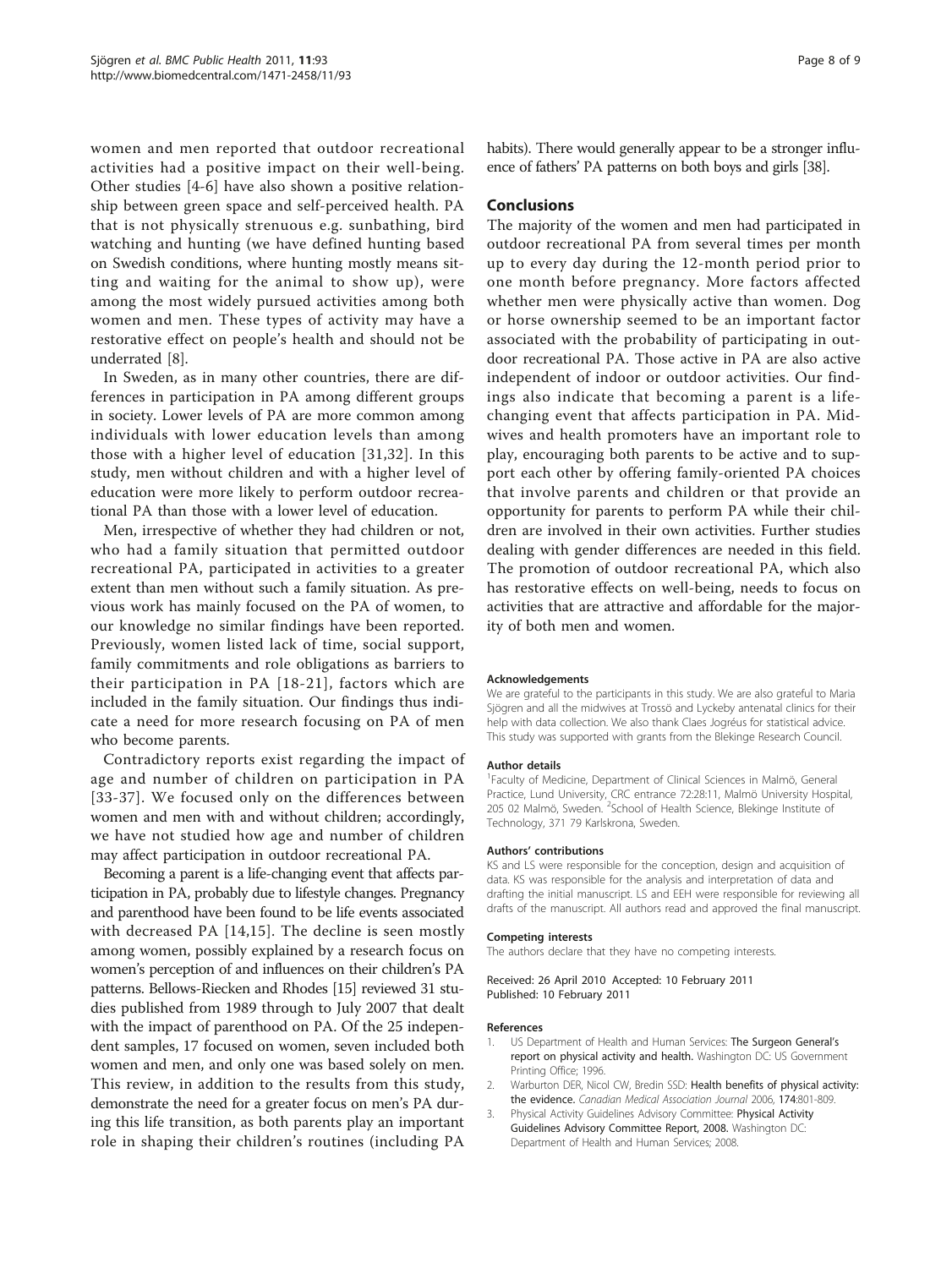women and men reported that outdoor recreational activities had a positive impact on their well-being. Other studies [4-6] have also shown a positive relationship between green space and self-perceived health. PA that is not physically strenuous e.g. sunbathing, bird watching and hunting (we have defined hunting based on Swedish conditions, where hunting mostly means sitting and waiting for the animal to show up), were among the most widely pursued activities among both women and men. These types of activity may have a restorative effect on people's health and should not be underrated [8].

In Sweden, as in many other countries, there are differences in participation in PA among different groups in society. Lower levels of PA are more common among individuals with lower education levels than among those with a higher level of education [31,32]. In this study, men without children and with a higher level of education were more likely to perform outdoor recreational PA than those with a lower level of education.

Men, irrespective of whether they had children or not, who had a family situation that permitted outdoor recreational PA, participated in activities to a greater extent than men without such a family situation. As previous work has mainly focused on the PA of women, to our knowledge no similar findings have been reported. Previously, women listed lack of time, social support, family commitments and role obligations as barriers to their participation in PA [18-21], factors which are included in the family situation. Our findings thus indicate a need for more research focusing on PA of men who become parents.

Contradictory reports exist regarding the impact of age and number of children on participation in PA [33-37]. We focused only on the differences between women and men with and without children; accordingly, we have not studied how age and number of children may affect participation in outdoor recreational PA.

Becoming a parent is a life-changing event that affects participation in PA, probably due to lifestyle changes. Pregnancy and parenthood have been found to be life events associated with decreased PA [14,15]. The decline is seen mostly among women, possibly explained by a research focus on women's perception of and influences on their children's PA patterns. Bellows-Riecken and Rhodes [15] reviewed 31 studies published from 1989 through to July 2007 that dealt with the impact of parenthood on PA. Of the 25 independent samples, 17 focused on women, seven included both women and men, and only one was based solely on men. This review, in addition to the results from this study, demonstrate the need for a greater focus on men's PA during this life transition, as both parents play an important role in shaping their children's routines (including PA habits). There would generally appear to be a stronger influence of fathers' PA patterns on both boys and girls [38].

### Conclusions

The majority of the women and men had participated in outdoor recreational PA from several times per month up to every day during the 12-month period prior to one month before pregnancy. More factors affected whether men were physically active than women. Dog or horse ownership seemed to be an important factor associated with the probability of participating in outdoor recreational PA. Those active in PA are also active independent of indoor or outdoor activities. Our findings also indicate that becoming a parent is a lifechanging event that affects participation in PA. Midwives and health promoters have an important role to play, encouraging both parents to be active and to support each other by offering family-oriented PA choices that involve parents and children or that provide an opportunity for parents to perform PA while their children are involved in their own activities. Further studies dealing with gender differences are needed in this field. The promotion of outdoor recreational PA, which also has restorative effects on well-being, needs to focus on activities that are attractive and affordable for the majority of both men and women.

#### Acknowledgements

We are grateful to the participants in this study. We are also grateful to Maria Sjögren and all the midwives at Trossö and Lyckeby antenatal clinics for their help with data collection. We also thank Claes Jogréus for statistical advice. This study was supported with grants from the Blekinge Research Council.

#### Author details

<sup>1</sup> Faculty of Medicine, Department of Clinical Sciences in Malmö, General Practice, Lund University, CRC entrance 72:28:11, Malmö University Hospital, 205 02 Malmö, Sweden. <sup>2</sup>School of Health Science, Blekinge Institute of Technology, 371 79 Karlskrona, Sweden.

#### Authors' contributions

KS and LS were responsible for the conception, design and acquisition of data. KS was responsible for the analysis and interpretation of data and drafting the initial manuscript. LS and EEH were responsible for reviewing all drafts of the manuscript. All authors read and approved the final manuscript.

#### Competing interests

The authors declare that they have no competing interests.

Received: 26 April 2010 Accepted: 10 February 2011 Published: 10 February 2011

#### References

- US Department of Health and Human Services: The Surgeon General's report on physical activity and health. Washington DC: US Government Printing Office; 1996.
- 2. Warburton DER, Nicol CW, Bredin SSD: [Health benefits of physical activity:](http://www.ncbi.nlm.nih.gov/pubmed/16534088?dopt=Abstract) [the evidence.](http://www.ncbi.nlm.nih.gov/pubmed/16534088?dopt=Abstract) Canadian Medical Association Journal 2006, 174:801-809.
- 3. Physical Activity Guidelines Advisory Committee: Physical Activity Guidelines Advisory Committee Report, 2008. Washington DC: Department of Health and Human Services; 2008.